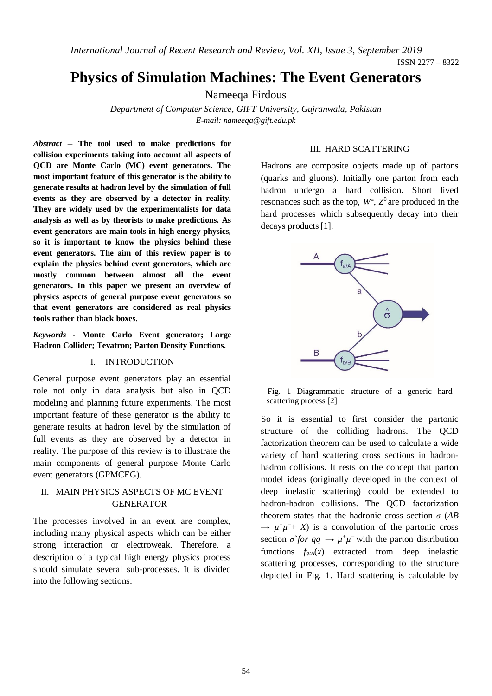*International Journal of Recent Research and Review, Vol. XII, Issue 3, September 2019*

# **Physics of Simulation Machines: The Event Generators**

Nameeqa Firdous

*Department of Computer Science, GIFT University, Gujranwala, Pakistan E-mail: nameeqa@gift.edu.pk*

*Abstract --* **The tool used to make predictions for collision experiments taking into account all aspects of QCD are Monte Carlo (MC) event generators. The most important feature of this generator is the ability to generate results at hadron level by the simulation of full events as they are observed by a detector in reality. They are widely used by the experimentalists for data analysis as well as by theorists to make predictions. As event generators are main tools in high energy physics, so it is important to know the physics behind these event generators. The aim of this review paper is to explain the physics behind event generators, which are mostly common between almost all the event generators. In this paper we present an overview of physics aspects of general purpose event generators so that event generators are considered as real physics tools rather than black boxes.**

*Keywords -* **Monte Carlo Event generator; Large Hadron Collider; Tevatron; Parton Density Functions.**

## I. INTRODUCTION

General purpose event generators play an essential role not only in data analysis but also in QCD modeling and planning future experiments. The most important feature of these generator is the ability to generate results at hadron level by the simulation of full events as they are observed by a detector in reality. The purpose of this review is to illustrate the main components of general purpose Monte Carlo event generators (GPMCEG).

## II. MAIN PHYSICS ASPECTS OF MC EVENT GENERATOR

The processes involved in an event are complex, including many physical aspects which can be either strong interaction or electroweak. Therefore, a description of a typical high energy physics process should simulate several sub-processes. It is divided into the following sections:

### III. HARD SCATTERING

Hadrons are composite objects made up of partons (quarks and gluons). Initially one parton from each hadron undergo a hard collision. Short lived resonances such as the top,  $W^{\pm}$ ,  $Z^0$  are produced in the hard processes which subsequently decay into their decays products [1].



Fig. 1 Diagrammatic structure of a generic hard scattering process [2]

So it is essential to first consider the partonic structure of the colliding hadrons. The QCD factorization theorem can be used to calculate a wide variety of hard scattering cross sections in hadronhadron collisions. It rests on the concept that parton model ideas (originally developed in the context of deep inelastic scattering) could be extended to hadron-hadron collisions. The QCD factorization theorem states that the hadronic cross section  $\sigma$  (*AB*)  $\rightarrow \mu^+\mu^-+X$  is a convolution of the partonic cross section  $\sigma$ <sup>2</sup>for  $qq^- \rightarrow \mu^+\mu^-$  with the parton distribution functions  $f_{q/A}(x)$  extracted from deep inelastic scattering processes, corresponding to the structure depicted in Fig. 1. Hard scattering is calculable by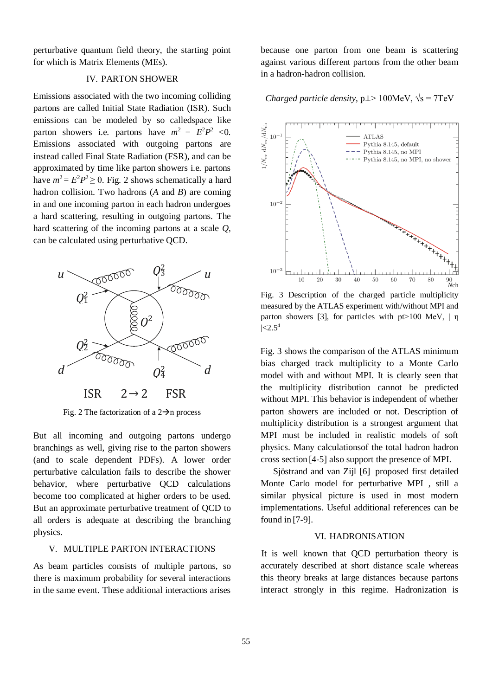perturbative quantum field theory, the starting point for which is Matrix Elements (MEs).

#### IV. PARTON SHOWER

Emissions associated with the two incoming colliding partons are called Initial State Radiation (ISR). Such emissions can be modeled by so calledspace like parton showers i.e. partons have  $m^2 = E^2 P^2 < 0$ . Emissions associated with outgoing partons are instead called Final State Radiation (FSR), and can be approximated by time like parton showers i.e. partons have  $m^2 = E^2 P^2 \ge 0$ . Fig. 2 shows schematically a hard hadron collision. Two hadrons (*A* and *B*) are coming in and one incoming parton in each hadron undergoes a hard scattering, resulting in outgoing partons. The hard scattering of the incoming partons at a scale *Q*, can be calculated using perturbative QCD.



Fig. 2 The factorization of a  $2\rightarrow$ n process

But all incoming and outgoing partons undergo branchings as well, giving rise to the parton showers (and to scale dependent PDFs). A lower order perturbative calculation fails to describe the shower behavior, where perturbative QCD calculations become too complicated at higher orders to be used. But an approximate perturbative treatment of QCD to all orders is adequate at describing the branching physics.

## V. MULTIPLE PARTON INTERACTIONS

As beam particles consists of multiple partons, so there is maximum probability for several interactions in the same event. These additional interactions arises

because one parton from one beam is scattering against various different partons from the other beam in a hadron-hadron collision.

# *Charged particle density, p* $\perp$ > 100MeV,  $\sqrt{s}$  = 7TeV



Fig. 3 Description of the charged particle multiplicity measured by the ATLAS experiment with/without MPI and parton showers [3], for particles with  $pt>100$  MeV, | η  $|<2.5^4$ 

Fig. 3 shows the comparison of the ATLAS minimum bias charged track multiplicity to a Monte Carlo model with and without MPI. It is clearly seen that the multiplicity distribution cannot be predicted without MPI. This behavior is independent of whether parton showers are included or not. Description of multiplicity distribution is a strongest argument that MPI must be included in realistic models of soft physics. Many calculationsof the total hadron hadron cross section [4-5] also support the presence of MPI.

Sjöstrand and van Zijl [6] proposed first detailed Monte Carlo model for perturbative MPI , still a similar physical picture is used in most modern implementations. Useful additional references can be found in [7-9].

#### VI. HADRONISATION

It is well known that QCD perturbation theory is accurately described at short distance scale whereas this theory breaks at large distances because partons interact strongly in this regime. Hadronization is